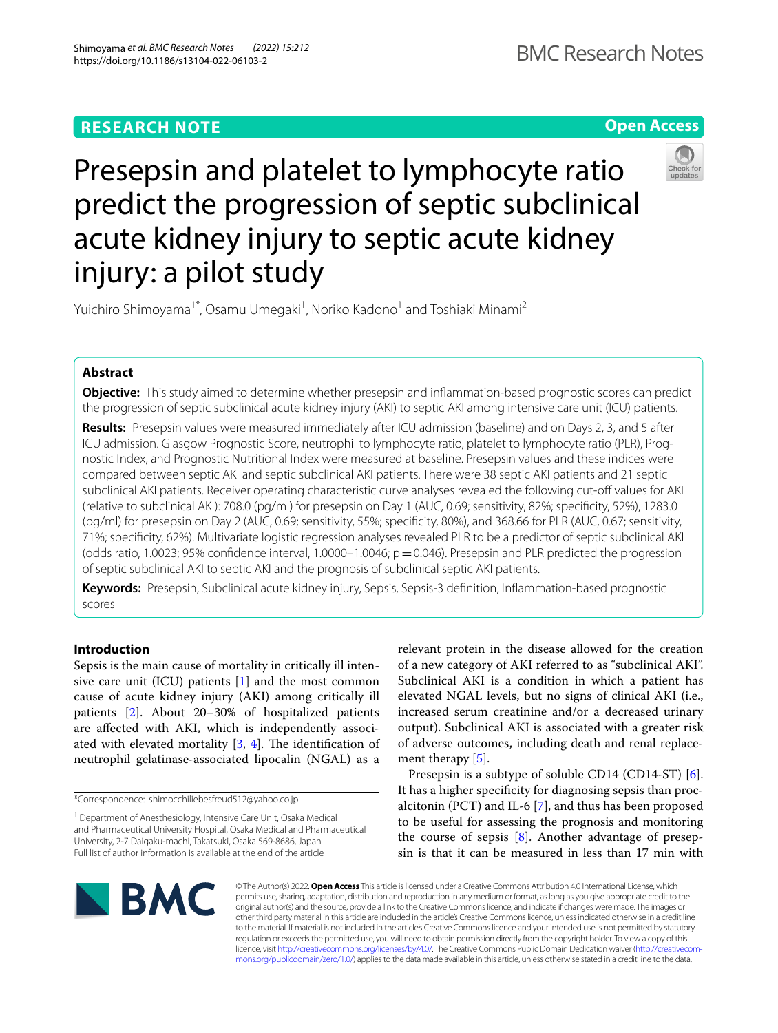# **RESEARCH NOTE**





# Presepsin and platelet to lymphocyte ratio predict the progression of septic subclinical acute kidney injury to septic acute kidney injury: a pilot study

Yuichiro Shimoyama<sup>1\*</sup>, Osamu Umegaki<sup>1</sup>, Noriko Kadono<sup>1</sup> and Toshiaki Minami<sup>2</sup>

# **Abstract**

**Objective:** This study aimed to determine whether presepsin and infammation-based prognostic scores can predict the progression of septic subclinical acute kidney injury (AKI) to septic AKI among intensive care unit (ICU) patients.

**Results:** Presepsin values were measured immediately after ICU admission (baseline) and on Days 2, 3, and 5 after ICU admission. Glasgow Prognostic Score, neutrophil to lymphocyte ratio, platelet to lymphocyte ratio (PLR), Prognostic Index, and Prognostic Nutritional Index were measured at baseline. Presepsin values and these indices were compared between septic AKI and septic subclinical AKI patients. There were 38 septic AKI patients and 21 septic subclinical AKI patients. Receiver operating characteristic curve analyses revealed the following cut-off values for AKI (relative to subclinical AKI): 708.0 (pg/ml) for presepsin on Day 1 (AUC, 0.69; sensitivity, 82%; specifcity, 52%), 1283.0 (pg/ml) for presepsin on Day 2 (AUC, 0.69; sensitivity, 55%; specifcity, 80%), and 368.66 for PLR (AUC, 0.67; sensitivity, 71%; specifcity, 62%). Multivariate logistic regression analyses revealed PLR to be a predictor of septic subclinical AKI (odds ratio, 1.0023; 95% confidence interval, 1.0000–1.0046;  $p = 0.046$ ). Presepsin and PLR predicted the progression of septic subclinical AKI to septic AKI and the prognosis of subclinical septic AKI patients.

**Keywords:** Presepsin, Subclinical acute kidney injury, Sepsis, Sepsis-3 defnition, Infammation-based prognostic scores

# **Introduction**

Sepsis is the main cause of mortality in critically ill intensive care unit (ICU) patients  $[1]$  $[1]$  and the most common cause of acute kidney injury (AKI) among critically ill patients [[2\]](#page-5-1). About 20–30% of hospitalized patients are afected with AKI, which is independently associated with elevated mortality  $[3, 4]$  $[3, 4]$  $[3, 4]$ . The identification of neutrophil gelatinase-associated lipocalin (NGAL) as a

relevant protein in the disease allowed for the creation of a new category of AKI referred to as "subclinical AKI". Subclinical AKI is a condition in which a patient has elevated NGAL levels, but no signs of clinical AKI (i.e., increased serum creatinine and/or a decreased urinary output). Subclinical AKI is associated with a greater risk of adverse outcomes, including death and renal replacement therapy  $[5]$  $[5]$ .

Presepsin is a subtype of soluble CD14 (CD14-ST) [\[6](#page-5-5)]. It has a higher specifcity for diagnosing sepsis than procalcitonin (PCT) and IL-6 [[7\]](#page-5-6), and thus has been proposed to be useful for assessing the prognosis and monitoring the course of sepsis  $[8]$  $[8]$ . Another advantage of presepsin is that it can be measured in less than 17 min with



© The Author(s) 2022. **Open Access** This article is licensed under a Creative Commons Attribution 4.0 International License, which permits use, sharing, adaptation, distribution and reproduction in any medium or format, as long as you give appropriate credit to the original author(s) and the source, provide a link to the Creative Commons licence, and indicate if changes were made. The images or other third party material in this article are included in the article's Creative Commons licence, unless indicated otherwise in a credit line to the material. If material is not included in the article's Creative Commons licence and your intended use is not permitted by statutory regulation or exceeds the permitted use, you will need to obtain permission directly from the copyright holder. To view a copy of this licence, visit [http://creativecommons.org/licenses/by/4.0/.](http://creativecommons.org/licenses/by/4.0/) The Creative Commons Public Domain Dedication waiver ([http://creativecom](http://creativecommons.org/publicdomain/zero/1.0/)[mons.org/publicdomain/zero/1.0/\)](http://creativecommons.org/publicdomain/zero/1.0/) applies to the data made available in this article, unless otherwise stated in a credit line to the data.

<sup>\*</sup>Correspondence: shimocchiliebesfreud512@yahoo.co.jp

<sup>&</sup>lt;sup>1</sup> Department of Anesthesiology, Intensive Care Unit, Osaka Medical and Pharmaceutical University Hospital, Osaka Medical and Pharmaceutical University, 2-7 Daigaku-machi, Takatsuki, Osaka 569-8686, Japan Full list of author information is available at the end of the article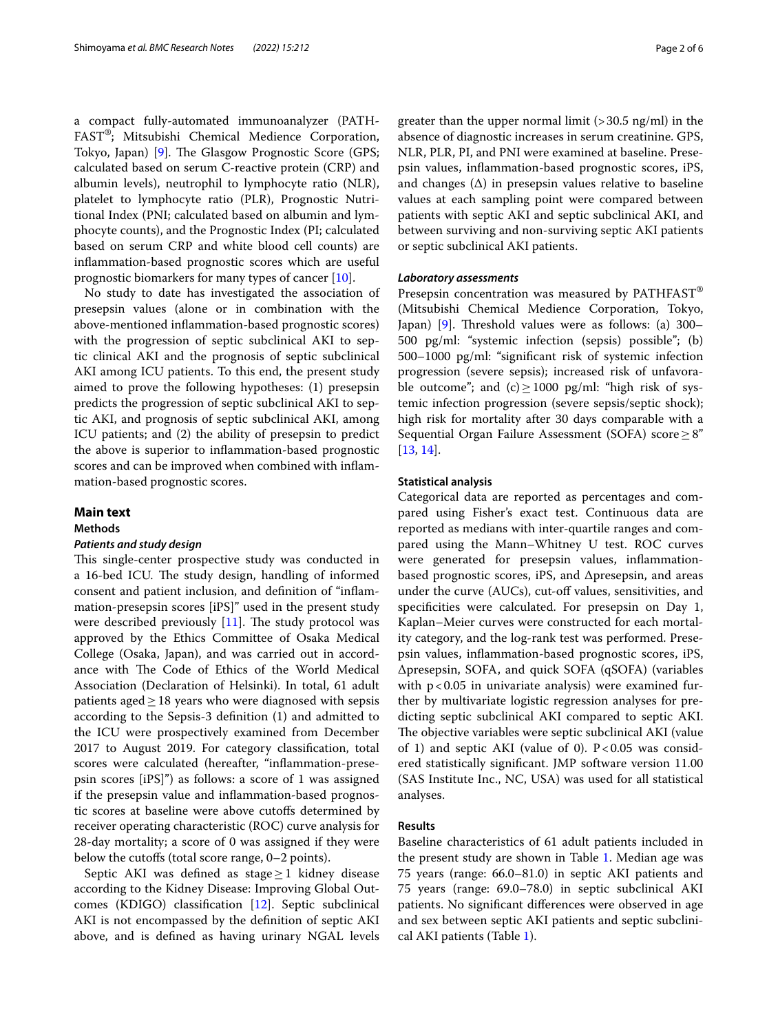a compact fully-automated immunoanalyzer (PATH-FAST®; Mitsubishi Chemical Medience Corporation, Tokyo, Japan) [[9\]](#page-5-8). The Glasgow Prognostic Score (GPS; calculated based on serum C-reactive protein (CRP) and albumin levels), neutrophil to lymphocyte ratio (NLR), platelet to lymphocyte ratio (PLR), Prognostic Nutritional Index (PNI; calculated based on albumin and lymphocyte counts), and the Prognostic Index (PI; calculated based on serum CRP and white blood cell counts) are infammation-based prognostic scores which are useful prognostic biomarkers for many types of cancer [[10\]](#page-5-9).

No study to date has investigated the association of presepsin values (alone or in combination with the above-mentioned infammation-based prognostic scores) with the progression of septic subclinical AKI to septic clinical AKI and the prognosis of septic subclinical AKI among ICU patients. To this end, the present study aimed to prove the following hypotheses: (1) presepsin predicts the progression of septic subclinical AKI to septic AKI, and prognosis of septic subclinical AKI, among ICU patients; and (2) the ability of presepsin to predict the above is superior to infammation-based prognostic scores and can be improved when combined with infammation-based prognostic scores.

## **Main text**

**Methods**

## *Patients and study design*

This single-center prospective study was conducted in a 16-bed ICU. The study design, handling of informed consent and patient inclusion, and defnition of "infammation-presepsin scores [iPS]" used in the present study were described previously  $[11]$  $[11]$ . The study protocol was approved by the Ethics Committee of Osaka Medical College (Osaka, Japan), and was carried out in accordance with The Code of Ethics of the World Medical Association (Declaration of Helsinki). In total, 61 adult patients aged $\geq$ 18 years who were diagnosed with sepsis according to the Sepsis-3 defnition (1) and admitted to the ICU were prospectively examined from December 2017 to August 2019. For category classifcation, total scores were calculated (hereafter, ''infammation-presepsin scores [iPS]'') as follows: a score of 1 was assigned if the presepsin value and infammation-based prognostic scores at baseline were above cutofs determined by receiver operating characteristic (ROC) curve analysis for 28-day mortality; a score of 0 was assigned if they were below the cutoffs (total score range,  $0-2$  points).

Septic AKI was defined as stage $\geq$ 1 kidney disease according to the Kidney Disease: Improving Global Outcomes (KDIGO) classifcation [[12\]](#page-5-11). Septic subclinical AKI is not encompassed by the defnition of septic AKI above, and is defned as having urinary NGAL levels greater than the upper normal limit  $(>30.5 \text{ ng/ml})$  in the absence of diagnostic increases in serum creatinine. GPS, NLR, PLR, PI, and PNI were examined at baseline. Presepsin values, infammation-based prognostic scores, iPS, and changes  $(\Delta)$  in presepsin values relative to baseline values at each sampling point were compared between patients with septic AKI and septic subclinical AKI, and between surviving and non-surviving septic AKI patients or septic subclinical AKI patients.

## *Laboratory assessments*

Presepsin concentration was measured by PATHFAST® (Mitsubishi Chemical Medience Corporation, Tokyo, Japan)  $[9]$  $[9]$ . Threshold values were as follows: (a) 300– 500 pg/ml: "systemic infection (sepsis) possible"; (b) 500–1000 pg/ml: "signifcant risk of systemic infection progression (severe sepsis); increased risk of unfavorable outcome"; and  $(c) \ge 1000$  pg/ml: "high risk of systemic infection progression (severe sepsis/septic shock); high risk for mortality after 30 days comparable with a Sequential Organ Failure Assessment (SOFA) score  $\geq 8$ " [[13,](#page-5-12) [14](#page-5-13)].

## **Statistical analysis**

Categorical data are reported as percentages and compared using Fisher's exact test. Continuous data are reported as medians with inter-quartile ranges and compared using the Mann–Whitney U test. ROC curves were generated for presepsin values, infammationbased prognostic scores, iPS, and Δpresepsin, and areas under the curve (AUCs), cut-of values, sensitivities, and specificities were calculated. For presepsin on Day 1, Kaplan–Meier curves were constructed for each mortality category, and the log-rank test was performed. Presepsin values, infammation-based prognostic scores, iPS, Δpresepsin, SOFA, and quick SOFA (qSOFA) (variables with  $p < 0.05$  in univariate analysis) were examined further by multivariate logistic regression analyses for predicting septic subclinical AKI compared to septic AKI. The objective variables were septic subclinical AKI (value of 1) and septic AKI (value of 0).  $P < 0.05$  was considered statistically signifcant. JMP software version 11.00 (SAS Institute Inc., NC, USA) was used for all statistical analyses.

## **Results**

Baseline characteristics of 61 adult patients included in the present study are shown in Table [1](#page-2-0). Median age was 75 years (range: 66.0–81.0) in septic AKI patients and 75 years (range: 69.0–78.0) in septic subclinical AKI patients. No signifcant diferences were observed in age and sex between septic AKI patients and septic subclinical AKI patients (Table [1\)](#page-2-0).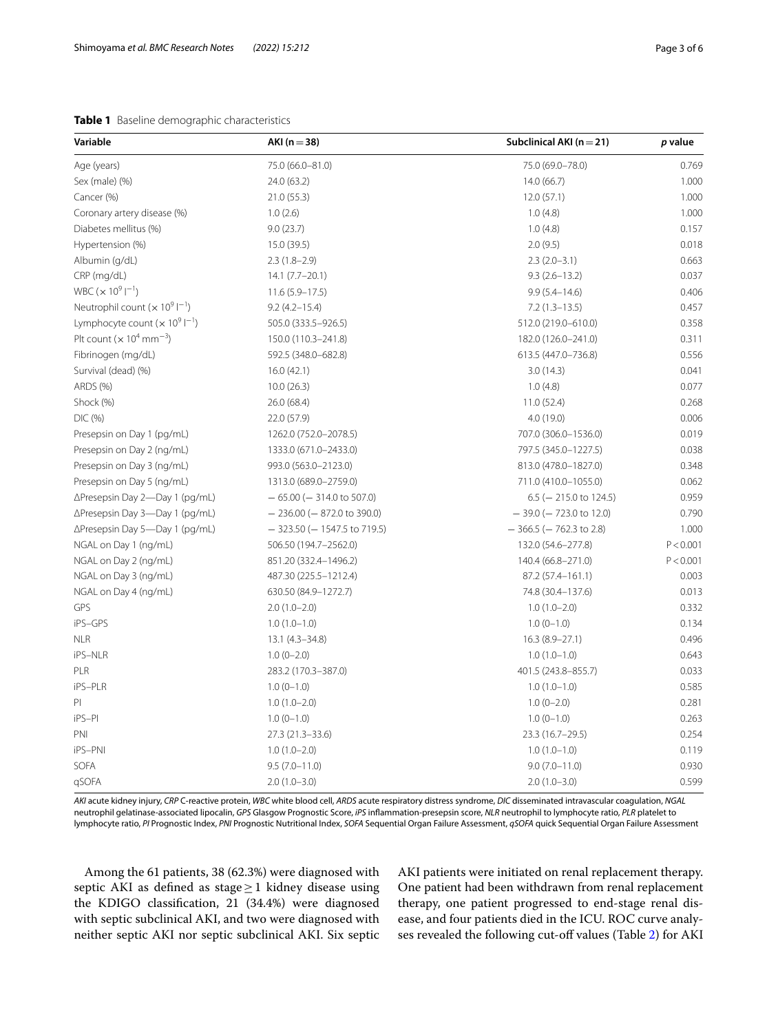## <span id="page-2-0"></span>**Table 1** Baseline demographic characteristics

| Variable                                                | AKI $(n=38)$                      | Subclinical AKI ( $n = 21$ ) | p value   |  |
|---------------------------------------------------------|-----------------------------------|------------------------------|-----------|--|
| Age (years)                                             | 75.0 (66.0-81.0)                  | 75.0 (69.0-78.0)             | 0.769     |  |
| Sex (male) (%)                                          | 24.0 (63.2)                       | 14.0 (66.7)                  | 1.000     |  |
| Cancer (%)                                              | 21.0 (55.3)                       | 12.0(57.1)                   | 1.000     |  |
| Coronary artery disease (%)                             | 1.0(2.6)                          | 1.0(4.8)                     | 1.000     |  |
| Diabetes mellitus (%)                                   | 9.0(23.7)                         | 1.0(4.8)                     | 0.157     |  |
| Hypertension (%)                                        | 15.0 (39.5)                       | 2.0(9.5)                     | 0.018     |  |
| Albumin (g/dL)                                          | $2.3(1.8-2.9)$                    | $2.3(2.0-3.1)$               | 0.663     |  |
| CRP (mg/dL)                                             | $14.1 (7.7 - 20.1)$               | $9.3(2.6 - 13.2)$            | 0.037     |  |
| WBC ( $\times$ 10 <sup>9</sup> l <sup>-1</sup> )        | $11.6(5.9 - 17.5)$                | $9.9(5.4 - 14.6)$            | 0.406     |  |
| Neutrophil count ( $\times$ 10 <sup>9</sup> $ ^{-1}$ )  | $9.2(4.2 - 15.4)$                 | $7.2(1.3-13.5)$              | 0.457     |  |
| Lymphocyte count $(x 10^9  ^{-1})$                      | 505.0 (333.5-926.5)               | 512.0 (219.0-610.0)          | 0.358     |  |
| Plt count ( $\times$ 10 <sup>4</sup> mm <sup>-3</sup> ) | 150.0 (110.3-241.8)               | 182.0 (126.0-241.0)          | 0.311     |  |
| Fibrinogen (mg/dL)                                      | 592.5 (348.0-682.8)               | 613.5 (447.0-736.8)          | 0.556     |  |
| Survival (dead) (%)                                     | 16.0(42.1)                        | 3.0(14.3)                    | 0.041     |  |
| ARDS (%)                                                | 10.0(26.3)                        | 1.0(4.8)                     | 0.077     |  |
| Shock (%)                                               | 26.0 (68.4)                       | 11.0(52.4)                   | 0.268     |  |
| DIC(%)                                                  | 22.0 (57.9)                       | 4.0(19.0)                    | 0.006     |  |
| Presepsin on Day 1 (pg/mL)                              | 1262.0 (752.0-2078.5)             | 707.0 (306.0-1536.0)         | 0.019     |  |
| Presepsin on Day 2 (ng/mL)                              | 1333.0 (671.0-2433.0)             | 797.5 (345.0-1227.5)         | 0.038     |  |
| Presepsin on Day 3 (ng/mL)                              | 993.0 (563.0-2123.0)              | 813.0 (478.0-1827.0)         | 0.348     |  |
| Presepsin on Day 5 (ng/mL)                              | 1313.0 (689.0-2759.0)             | 711.0 (410.0-1055.0)         | 0.062     |  |
| ∆Presepsin Day 2-Day 1 (pg/mL)                          | $-65.00$ ( $-314.0$ to 507.0)     | $6.5$ (-215.0 to 124.5)      | 0.959     |  |
| ∆Presepsin Day 3-Day 1 (pg/mL)                          | $-236.00$ ( $-872.0$ to 390.0)    | $-39.0$ ( $-723.0$ to 12.0)  | 0.790     |  |
| ∆Presepsin Day 5-Day 1 (pg/mL)                          | $-$ 323.50 ( $-$ 1547.5 to 719.5) | $-366.5$ ( $-762.3$ to 2.8)  | 1.000     |  |
| NGAL on Day 1 (ng/mL)                                   | 506.50 (194.7-2562.0)             | 132.0 (54.6-277.8)           | P < 0.001 |  |
| NGAL on Day 2 (ng/mL)                                   | 851.20 (332.4-1496.2)             | 140.4 (66.8-271.0)           | P < 0.001 |  |
| NGAL on Day 3 (ng/mL)                                   | 487.30 (225.5-1212.4)             | 87.2 (57.4-161.1)            | 0.003     |  |
| NGAL on Day 4 (ng/mL)                                   | 630.50 (84.9-1272.7)              | 74.8 (30.4-137.6)            | 0.013     |  |
| GPS                                                     | $2.0(1.0-2.0)$                    | $1.0(1.0-2.0)$               | 0.332     |  |
| iPS-GPS                                                 | $1.0(1.0-1.0)$                    | $1.0(0-1.0)$                 | 0.134     |  |
| <b>NLR</b>                                              | $13.1 (4.3 - 34.8)$               | $16.3(8.9 - 27.1)$           | 0.496     |  |
| iPS-NLR                                                 | $1.0(0-2.0)$                      | $1.0(1.0-1.0)$               | 0.643     |  |
| PLR                                                     | 283.2 (170.3-387.0)               | 401.5 (243.8-855.7)          | 0.033     |  |
| iPS-PLR                                                 | $1.0(0-1.0)$                      | $1.0(1.0-1.0)$               | 0.585     |  |
| PI                                                      | $1.0(1.0-2.0)$                    | $1.0(0-2.0)$                 | 0.281     |  |
| iPS-PI                                                  | $1.0(0-1.0)$                      | $1.0(0-1.0)$                 | 0.263     |  |
| PNI                                                     | 27.3 (21.3-33.6)                  | 23.3 (16.7-29.5)             | 0.254     |  |
| iPS-PNI                                                 | $1.0(1.0-2.0)$                    | $1.0(1.0-1.0)$               | 0.119     |  |
| SOFA                                                    | $9.5(7.0 - 11.0)$                 | $9.0(7.0 - 11.0)$            | 0.930     |  |
| qSOFA                                                   | $2.0(1.0-3.0)$                    | $2.0(1.0-3.0)$               | 0.599     |  |

*AKI* acute kidney injury, *CRP* C-reactive protein, *WBC* white blood cell, *ARDS* acute respiratory distress syndrome, *DIC* disseminated intravascular coagulation, *NGAL* neutrophil gelatinase-associated lipocalin, *GPS* Glasgow Prognostic Score, *iPS* infammation-presepsin score, *NLR* neutrophil to lymphocyte ratio, *PLR* platelet to lymphocyte ratio, *PI* Prognostic Index, *PNI* Prognostic Nutritional Index, *SOFA* Sequential Organ Failure Assessment, *qSOFA* quick Sequential Organ Failure Assessment

Among the 61 patients, 38 (62.3%) were diagnosed with septic AKI as defined as stage $\geq$ 1 kidney disease using the KDIGO classifcation, 21 (34.4%) were diagnosed with septic subclinical AKI, and two were diagnosed with neither septic AKI nor septic subclinical AKI. Six septic AKI patients were initiated on renal replacement therapy. One patient had been withdrawn from renal replacement therapy, one patient progressed to end-stage renal disease, and four patients died in the ICU. ROC curve analy-ses revealed the following cut-off values (Table [2\)](#page-3-0) for AKI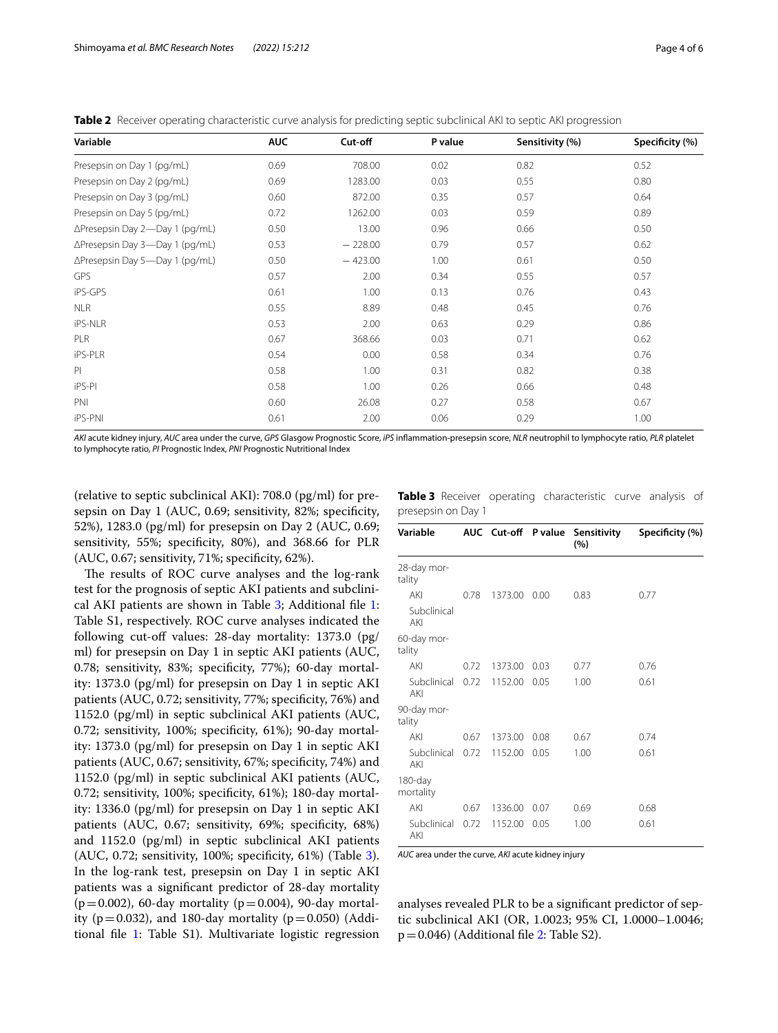| Variable                       | <b>AUC</b> | Cut-off   | P value | Sensitivity (%) | Specificity (%) |
|--------------------------------|------------|-----------|---------|-----------------|-----------------|
| Presepsin on Day 1 (pg/mL)     | 0.69       | 708.00    | 0.02    | 0.82            | 0.52            |
| Presepsin on Day 2 (pg/mL)     | 0.69       | 1283.00   | 0.03    | 0.55            | 0.80            |
| Presepsin on Day 3 (pg/mL)     | 0.60       | 872.00    | 0.35    | 0.57            | 0.64            |
| Presepsin on Day 5 (pg/mL)     | 0.72       | 1262.00   | 0.03    | 0.59            | 0.89            |
| ∆Presepsin Day 2-Day 1 (pg/mL) | 0.50       | 13.00     | 0.96    | 0.66            | 0.50            |
| ∆Presepsin Day 3-Day 1 (pg/mL) | 0.53       | $-228.00$ | 0.79    | 0.57            | 0.62            |
| ∆Presepsin Day 5-Day 1 (pg/mL) | 0.50       | $-423.00$ | 1.00    | 0.61            | 0.50            |
| GPS                            | 0.57       | 2.00      | 0.34    | 0.55            | 0.57            |
| iPS-GPS                        | 0.61       | 1.00      | 0.13    | 0.76            | 0.43            |
| <b>NLR</b>                     | 0.55       | 8.89      | 0.48    | 0.45            | 0.76            |
| iPS-NLR                        | 0.53       | 2.00      | 0.63    | 0.29            | 0.86            |
| PLR                            | 0.67       | 368.66    | 0.03    | 0.71            | 0.62            |
| <b>iPS-PLR</b>                 | 0.54       | 0.00      | 0.58    | 0.34            | 0.76            |
| PI.                            | 0.58       | 1.00      | 0.31    | 0.82            | 0.38            |
| iPS-PI                         | 0.58       | 1.00      | 0.26    | 0.66            | 0.48            |
| PNI                            | 0.60       | 26.08     | 0.27    | 0.58            | 0.67            |
| <b>iPS-PNI</b>                 | 0.61       | 2.00      | 0.06    | 0.29            | 1.00            |

<span id="page-3-0"></span>**Table 2** Receiver operating characteristic curve analysis for predicting septic subclinical AKI to septic AKI progression

*AKI* acute kidney injury, *AUC* area under the curve, *GPS* Glasgow Prognostic Score, *iPS* infammation-presepsin score, *NLR* neutrophil to lymphocyte ratio, *PLR* platelet to lymphocyte ratio, *PI* Prognostic Index, *PNI* Prognostic Nutritional Index

(relative to septic subclinical AKI): 708.0 (pg/ml) for presepsin on Day 1 (AUC, 0.69; sensitivity, 82%; specifcity, 52%), 1283.0 (pg/ml) for presepsin on Day 2 (AUC, 0.69; sensitivity, 55%; specifcity, 80%), and 368.66 for PLR (AUC, 0.67; sensitivity, 71%; specifcity, 62%).

The results of ROC curve analyses and the log-rank test for the prognosis of septic AKI patients and subclinical AKI patients are shown in Table [3](#page-3-1); Additional fle [1](#page-5-14): Table S1, respectively. ROC curve analyses indicated the following cut-off values: 28-day mortality: 1373.0 (pg/ ml) for presepsin on Day 1 in septic AKI patients (AUC, 0.78; sensitivity, 83%; specifcity, 77%); 60-day mortality: 1373.0 (pg/ml) for presepsin on Day 1 in septic AKI patients (AUC, 0.72; sensitivity, 77%; specifcity, 76%) and 1152.0 (pg/ml) in septic subclinical AKI patients (AUC, 0.72; sensitivity, 100%; specifcity, 61%); 90-day mortality: 1373.0 (pg/ml) for presepsin on Day 1 in septic AKI patients (AUC, 0.67; sensitivity, 67%; specificity, 74%) and 1152.0 (pg/ml) in septic subclinical AKI patients (AUC, 0.72; sensitivity, 100%; specifcity, 61%); 180-day mortality: 1336.0 (pg/ml) for presepsin on Day 1 in septic AKI patients (AUC, 0.67; sensitivity, 69%; specifcity, 68%) and 1152.0 (pg/ml) in septic subclinical AKI patients (AUC, 0.72; sensitivity, 100%; specifcity, 61%) (Table [3](#page-3-1)). In the log-rank test, presepsin on Day 1 in septic AKI patients was a signifcant predictor of 28-day mortality ( $p=0.002$ ), 60-day mortality ( $p=0.004$ ), 90-day mortality ( $p=0.032$ ), and 180-day mortality ( $p=0.050$ ) (Additional fle [1](#page-5-14): Table S1). Multivariate logistic regression <span id="page-3-1"></span>**Table 3** Receiver operating characteristic curve analysis of presepsin on Day 1

| Variable              |      |         |      | AUC Cut-off P value Sensitivity<br>(%) | Specificity (%) |
|-----------------------|------|---------|------|----------------------------------------|-----------------|
| 28-day mor-<br>tality |      |         |      |                                        |                 |
| AKI                   | 0.78 | 1373.00 | 0.00 | 0.83                                   | 0.77            |
| Subclinical<br>AKI    |      |         |      |                                        |                 |
| 60-day mor-<br>tality |      |         |      |                                        |                 |
| AKI                   | 0.72 | 1373.00 | 0.03 | 0.77                                   | 0.76            |
| Subclinical<br>AKI    | 0.72 | 1152.00 | 0.05 | 1.00                                   | 0.61            |
| 90-day mor-<br>tality |      |         |      |                                        |                 |
| AKI                   | 0.67 | 1373.00 | 0.08 | 0.67                                   | 0.74            |
| Subclinical<br>AKI    | 0.72 | 1152.00 | 0.05 | 1.00                                   | 0.61            |
| 180-day<br>mortality  |      |         |      |                                        |                 |
| AKI                   | 0.67 | 1336.00 | 0.07 | 0.69                                   | 0.68            |
| Subclinical<br>AKI    | 0.72 | 1152.00 | 0.05 | 1.00                                   | 0.61            |

*AUC* area under the curve, *AKI* acute kidney injury

analyses revealed PLR to be a signifcant predictor of septic subclinical AKI (OR, 1.0023; 95% CI, 1.0000–1.0046;  $p=0.046$ ) (Additional file [2](#page-5-15): Table S2).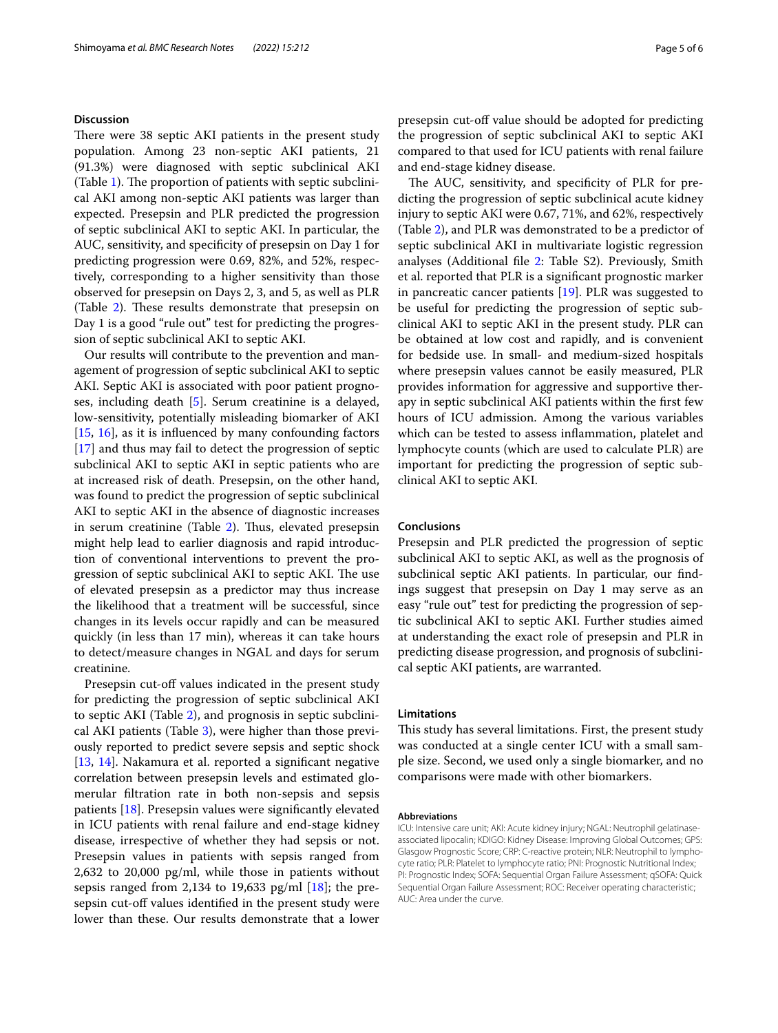## **Discussion**

There were 38 septic AKI patients in the present study population. Among 23 non-septic AKI patients, 21 (91.3%) were diagnosed with septic subclinical AKI (Table [1\)](#page-2-0). The proportion of patients with septic subclinical AKI among non-septic AKI patients was larger than expected. Presepsin and PLR predicted the progression of septic subclinical AKI to septic AKI. In particular, the AUC, sensitivity, and specifcity of presepsin on Day 1 for predicting progression were 0.69, 82%, and 52%, respectively, corresponding to a higher sensitivity than those observed for presepsin on Days 2, 3, and 5, as well as PLR (Table [2](#page-3-0)). These results demonstrate that presepsin on Day 1 is a good "rule out" test for predicting the progression of septic subclinical AKI to septic AKI.

Our results will contribute to the prevention and management of progression of septic subclinical AKI to septic AKI. Septic AKI is associated with poor patient prognoses, including death [[5\]](#page-5-4). Serum creatinine is a delayed, low-sensitivity, potentially misleading biomarker of AKI [[15,](#page-5-16) [16\]](#page-5-17), as it is infuenced by many confounding factors [[17\]](#page-5-18) and thus may fail to detect the progression of septic subclinical AKI to septic AKI in septic patients who are at increased risk of death. Presepsin, on the other hand, was found to predict the progression of septic subclinical AKI to septic AKI in the absence of diagnostic increases in serum creatinine (Table [2\)](#page-3-0). Thus, elevated presepsin might help lead to earlier diagnosis and rapid introduction of conventional interventions to prevent the progression of septic subclinical AKI to septic AKI. The use of elevated presepsin as a predictor may thus increase the likelihood that a treatment will be successful, since changes in its levels occur rapidly and can be measured quickly (in less than 17 min), whereas it can take hours to detect/measure changes in NGAL and days for serum creatinine.

Presepsin cut-off values indicated in the present study for predicting the progression of septic subclinical AKI to septic AKI (Table [2\)](#page-3-0), and prognosis in septic subclinical AKI patients (Table [3\)](#page-3-1), were higher than those previously reported to predict severe sepsis and septic shock [[13,](#page-5-12) [14](#page-5-13)]. Nakamura et al. reported a signifcant negative correlation between presepsin levels and estimated glomerular fltration rate in both non-sepsis and sepsis patients [\[18\]](#page-5-19). Presepsin values were signifcantly elevated in ICU patients with renal failure and end-stage kidney disease, irrespective of whether they had sepsis or not. Presepsin values in patients with sepsis ranged from 2,632 to 20,000 pg/ml, while those in patients without sepsis ranged from 2,134 to 19,633  $pg/ml$  [\[18](#page-5-19)]; the presepsin cut-off values identified in the present study were lower than these. Our results demonstrate that a lower presepsin cut-off value should be adopted for predicting the progression of septic subclinical AKI to septic AKI compared to that used for ICU patients with renal failure and end-stage kidney disease.

The AUC, sensitivity, and specificity of PLR for predicting the progression of septic subclinical acute kidney injury to septic AKI were 0.67, 71%, and 62%, respectively (Table [2\)](#page-3-0), and PLR was demonstrated to be a predictor of septic subclinical AKI in multivariate logistic regression analyses (Additional file [2](#page-5-15): Table S2). Previously, Smith et al. reported that PLR is a signifcant prognostic marker in pancreatic cancer patients [\[19](#page-5-20)]. PLR was suggested to be useful for predicting the progression of septic subclinical AKI to septic AKI in the present study. PLR can be obtained at low cost and rapidly, and is convenient for bedside use. In small- and medium-sized hospitals where presepsin values cannot be easily measured, PLR provides information for aggressive and supportive therapy in septic subclinical AKI patients within the frst few hours of ICU admission. Among the various variables which can be tested to assess infammation, platelet and lymphocyte counts (which are used to calculate PLR) are important for predicting the progression of septic subclinical AKI to septic AKI.

## **Conclusions**

Presepsin and PLR predicted the progression of septic subclinical AKI to septic AKI, as well as the prognosis of subclinical septic AKI patients. In particular, our fndings suggest that presepsin on Day 1 may serve as an easy "rule out" test for predicting the progression of septic subclinical AKI to septic AKI. Further studies aimed at understanding the exact role of presepsin and PLR in predicting disease progression, and prognosis of subclinical septic AKI patients, are warranted.

#### **Limitations**

This study has several limitations. First, the present study was conducted at a single center ICU with a small sample size. Second, we used only a single biomarker, and no comparisons were made with other biomarkers.

#### **Abbreviations**

ICU: Intensive care unit; AKI: Acute kidney injury; NGAL: Neutrophil gelatinaseassociated lipocalin; KDIGO: Kidney Disease: Improving Global Outcomes; GPS: Glasgow Prognostic Score; CRP: C-reactive protein; NLR: Neutrophil to lymphocyte ratio; PLR: Platelet to lymphocyte ratio; PNI: Prognostic Nutritional Index; PI: Prognostic Index; SOFA: Sequential Organ Failure Assessment; qSOFA: Quick Sequential Organ Failure Assessment; ROC: Receiver operating characteristic; AUC: Area under the curve.